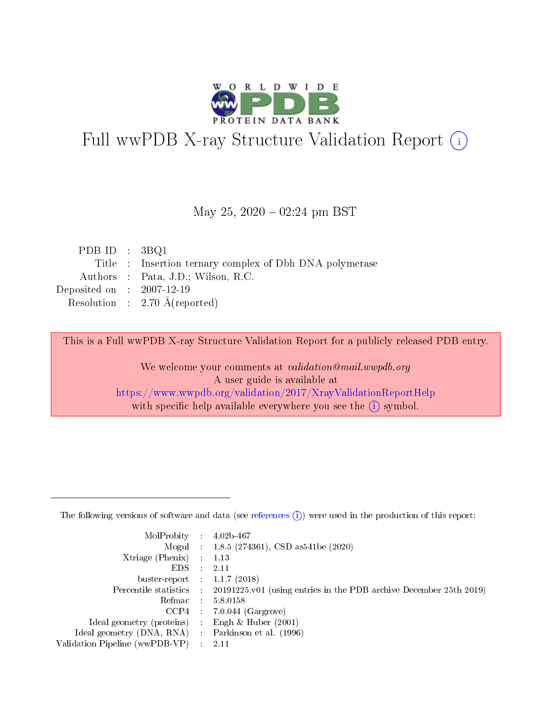

# Full wwPDB X-ray Structure Validation Report (i)

#### May 25,  $2020 - 02:24$  pm BST

| PDB ID : $3BQ1$             |                                                         |
|-----------------------------|---------------------------------------------------------|
|                             | Title : Insertion ternary complex of Dbh DNA polymerase |
|                             | Authors : Pata, J.D.; Wilson, R.C.                      |
| Deposited on : $2007-12-19$ |                                                         |
|                             | Resolution : $2.70 \text{ Å}$ (reported)                |

This is a Full wwPDB X-ray Structure Validation Report for a publicly released PDB entry.

We welcome your comments at validation@mail.wwpdb.org A user guide is available at <https://www.wwpdb.org/validation/2017/XrayValidationReportHelp> with specific help available everywhere you see the  $(i)$  symbol.

The following versions of software and data (see [references](https://www.wwpdb.org/validation/2017/XrayValidationReportHelp#references)  $(1)$ ) were used in the production of this report:

| MolProbity :                   |               | $4.02b - 467$                                                               |
|--------------------------------|---------------|-----------------------------------------------------------------------------|
|                                |               | Mogul : $1.8.5$ (274361), CSD as 541be (2020)                               |
| $X$ triage (Phenix) :          |               | 1.13                                                                        |
| EDS.                           |               | 2.11                                                                        |
| buster-report : $1.1.7$ (2018) |               |                                                                             |
| Percentile statistics :        |               | $20191225 \text{v}01$ (using entries in the PDB archive December 25th 2019) |
| Refmac :                       |               | 5.8.0158                                                                    |
| $CCP4$ :                       |               | $7.0.044$ (Gargrove)                                                        |
| Ideal geometry (proteins) :    |               | Engh $\&$ Huber (2001)                                                      |
| Ideal geometry (DNA, RNA) :    |               | Parkinson et al. (1996)                                                     |
| Validation Pipeline (wwPDB-VP) | $\mathcal{L}$ | 2.11                                                                        |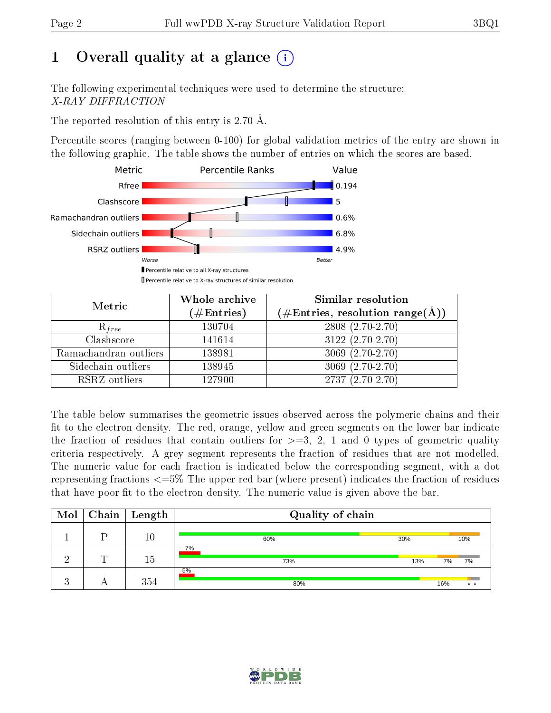# 1 [O](https://www.wwpdb.org/validation/2017/XrayValidationReportHelp#overall_quality)verall quality at a glance  $(i)$

The following experimental techniques were used to determine the structure: X-RAY DIFFRACTION

The reported resolution of this entry is 2.70 Å.

Percentile scores (ranging between 0-100) for global validation metrics of the entry are shown in the following graphic. The table shows the number of entries on which the scores are based.



| Metric                | Whole archive<br>$(\#\mathrm{Entries})$ | Similar resolution<br>$(\#\text{Entries},\, \text{resolution}\; \text{range}(\textup{\AA}))$ |
|-----------------------|-----------------------------------------|----------------------------------------------------------------------------------------------|
| $R_{free}$            | 130704                                  | 2808 (2.70-2.70)                                                                             |
| Clashscore            | 141614                                  | $3122(2.70-2.70)$                                                                            |
| Ramachandran outliers | 138981                                  | $3069(2.70-2.70)$                                                                            |
| Sidechain outliers    | 138945                                  | $3069(2.70-2.70)$                                                                            |
| RSRZ outliers         | 127900                                  | $2737(2.70-2.70)$                                                                            |

The table below summarises the geometric issues observed across the polymeric chains and their fit to the electron density. The red, orange, yellow and green segments on the lower bar indicate the fraction of residues that contain outliers for  $>=3, 2, 1$  and 0 types of geometric quality criteria respectively. A grey segment represents the fraction of residues that are not modelled. The numeric value for each fraction is indicated below the corresponding segment, with a dot representing fractions <=5% The upper red bar (where present) indicates the fraction of residues that have poor fit to the electron density. The numeric value is given above the bar.

| $\text{Mol}$         | $\mid$ Chain $\mid$ | Length | Quality of chain |     |     |           |
|----------------------|---------------------|--------|------------------|-----|-----|-----------|
|                      | D                   | $10\,$ | 60%              | 30% |     | 10%       |
|                      | m                   | 15     | 7%<br>73%        | 13% | 7%  | 7%        |
| $\ddot{\phantom{a}}$ |                     | 354    | 5%<br>80%        |     | 16% | $\bullet$ |

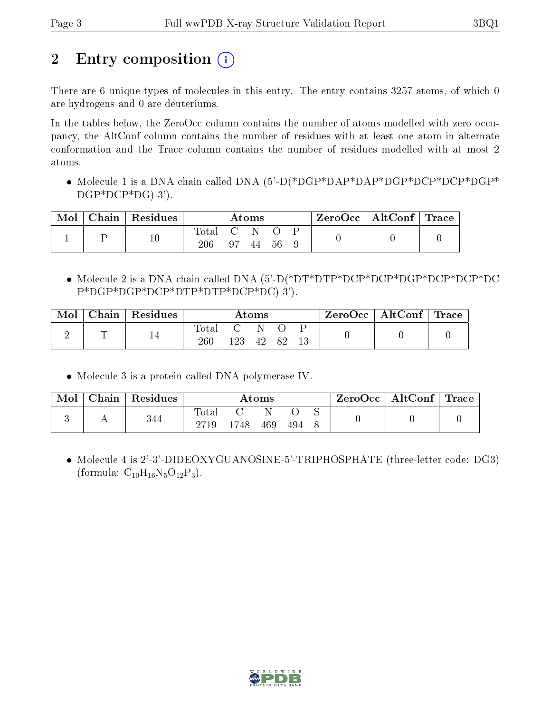# 2 Entry composition  $\binom{1}{1}$

There are 6 unique types of molecules in this entry. The entry contains 3257 atoms, of which 0 are hydrogens and 0 are deuteriums.

In the tables below, the ZeroOcc column contains the number of atoms modelled with zero occupancy, the AltConf column contains the number of residues with at least one atom in alternate conformation and the Trace column contains the number of residues modelled with at most 2 atoms.

• Molecule 1 is a DNA chain called DNA (5'-D(\*DGP\*DAP\*DAP\*DGP\*DCP\*DCP\*DGP\* DGP\*DCP\*DG)-3').

| Mol | ${}^{\shortmid}$ Chain ${}^{\shortmid}$ Residues | $\rm{Atoms}$ |             |     | $\text{ZeroOcc}$   AltConf   Trace |  |  |  |
|-----|--------------------------------------------------|--------------|-------------|-----|------------------------------------|--|--|--|
|     |                                                  | Total<br>206 | - C N<br>97 | -44 | - 56                               |  |  |  |

 Molecule 2 is a DNA chain called DNA (5'-D(\*DT\*DTP\*DCP\*DCP\*DGP\*DCP\*DCP\*DC P\*DGP\*DGP\*DCP\*DTP\*DTP\*DCP\*DC)-3').

| Mol | ${\rm Chain}$ | $\perp$ Residues | $\rm{Atoms}$ |  |    | $ZeroOcc \   \$ AltConf $\  $ | $\perp$ Trace |  |  |
|-----|---------------|------------------|--------------|--|----|-------------------------------|---------------|--|--|
|     | ┮             | 14               | total<br>260 |  | 42 | 89                            |               |  |  |

Molecule 3 is a protein called DNA polymerase IV.

| Mol | $\Gamma$ Chain $^+$ | Residues | $\rm{Atoms}$ |       |     |     | $\text{ZeroOcc}$   AltConf   Trace |  |  |
|-----|---------------------|----------|--------------|-------|-----|-----|------------------------------------|--|--|
|     |                     | 344      | $\rm Total$  |       |     |     |                                    |  |  |
|     |                     |          |              | l 748 | 469 | 494 |                                    |  |  |

 Molecule 4 is 2'-3'-DIDEOXYGUANOSINE-5'-TRIPHOSPHATE (three-letter code: DG3) (formula:  $C_{10}H_{16}N_5O_{12}P_3$ ).

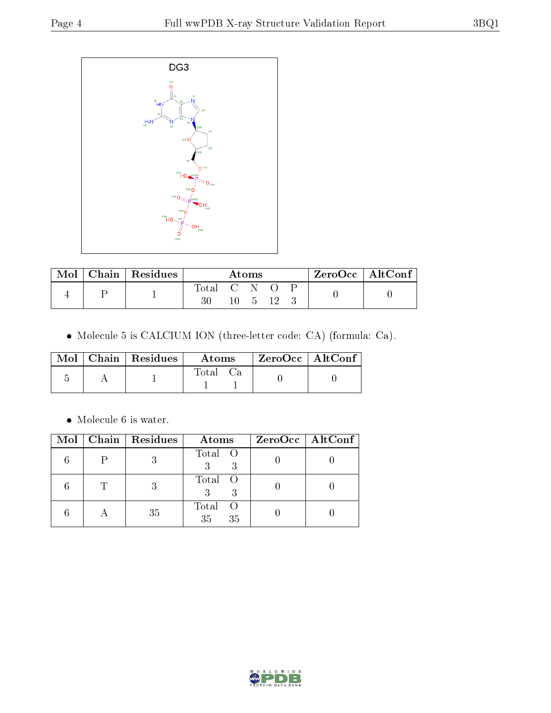

| Mol | Chain   Residues | Atoms     |  |  | $ZeroOcc \   \ AltConf \$ |  |  |
|-----|------------------|-----------|--|--|---------------------------|--|--|
|     |                  | Total C N |  |  |                           |  |  |
|     |                  |           |  |  |                           |  |  |

Molecule 5 is CALCIUM ION (three-letter code: CA) (formula: Ca).

|  | $\text{Mol}$   Chain   Residues | Atoms | $ZeroOcc \mid AltConf \mid$ |
|--|---------------------------------|-------|-----------------------------|
|  |                                 | Total |                             |

 $\bullet\,$  Molecule 6 is water.

|              | $Mol$   Chain   Residues | Atoms                      | $ZeroOcc \   \ AltConf \  $ |
|--------------|--------------------------|----------------------------|-----------------------------|
|              |                          | Total O                    |                             |
| $\mathbf{T}$ |                          | Total O                    |                             |
|              | 35                       | Total<br>- ( )<br>35<br>35 |                             |

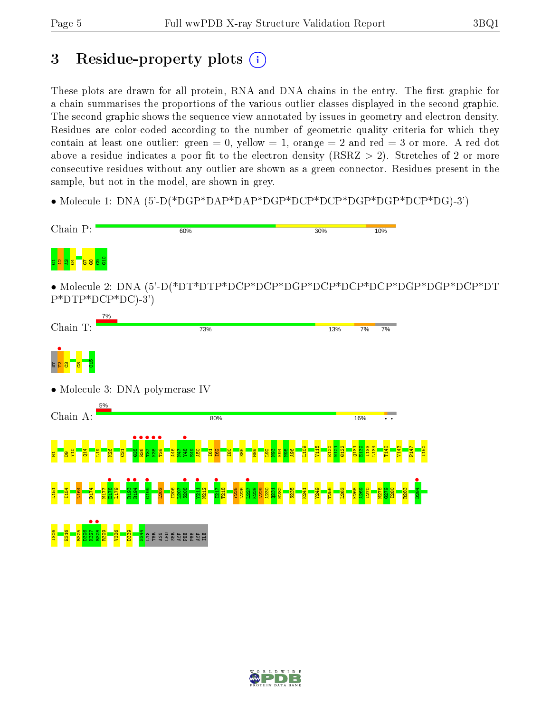## 3 Residue-property plots  $(i)$

These plots are drawn for all protein, RNA and DNA chains in the entry. The first graphic for a chain summarises the proportions of the various outlier classes displayed in the second graphic. The second graphic shows the sequence view annotated by issues in geometry and electron density. Residues are color-coded according to the number of geometric quality criteria for which they contain at least one outlier: green  $= 0$ , yellow  $= 1$ , orange  $= 2$  and red  $= 3$  or more. A red dot above a residue indicates a poor fit to the electron density (RSRZ  $> 2$ ). Stretches of 2 or more consecutive residues without any outlier are shown as a green connector. Residues present in the sample, but not in the model, are shown in grey.

• Molecule 1: DNA (5'-D(\*DGP\*DAP\*DAP\*DGP\*DCP\*DCP\*DGP\*DGP\*DCP\*DG)-3')



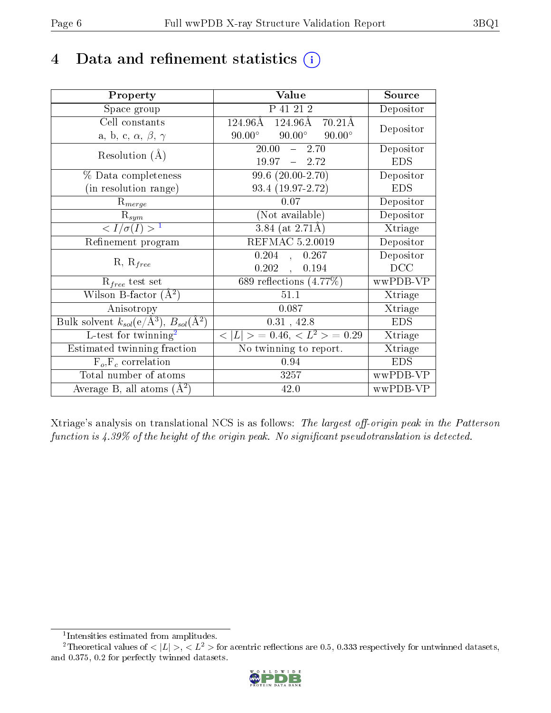## 4 Data and refinement statistics  $(i)$

| Property                                                                | Value                                                         | Source     |
|-------------------------------------------------------------------------|---------------------------------------------------------------|------------|
| Space group                                                             | P 41 21 2                                                     | Depositor  |
| Cell constants                                                          | $124.96\text{\AA}$<br>$124.96\text{\AA}$<br>$70.21\text{\AA}$ | Depositor  |
| a, b, c, $\alpha$ , $\beta$ , $\gamma$                                  | $90.00^\circ$<br>$90.00^{\circ}$<br>$90.00^\circ$             |            |
| Resolution $(A)$                                                        | $\overline{20.00}$ - 2.70                                     | Depositor  |
|                                                                         | $19.97 - 2.72$                                                | <b>EDS</b> |
| % Data completeness                                                     | $99.6(20.00-2.70)$                                            | Depositor  |
| (in resolution range)                                                   | 93.4 (19.97-2.72)                                             | <b>EDS</b> |
| $R_{merge}$                                                             | 0.07                                                          | Depositor  |
| $\mathrm{R}_{sym}$                                                      | (Not available)                                               | Depositor  |
| $\langle I/\sigma(I) \rangle^{-1}$                                      | $3.84$ (at 2.71Å)                                             | Xtriage    |
| Refinement program                                                      | REFMAC 5.2.0019                                               | Depositor  |
|                                                                         | 0.204,<br>0.267                                               | Depositor  |
| $R, R_{free}$                                                           | 0.202,<br>0.194                                               | DCC        |
| $\mathcal{R}_{free}$ test set                                           | 689 reflections $(4.77%)$                                     | wwPDB-VP   |
| Wilson B-factor $(A^2)$                                                 | 51.1                                                          | Xtriage    |
| Anisotropy                                                              | 0.087                                                         | Xtriage    |
| Bulk solvent $k_{sol}(\mathrm{e}/\mathrm{A}^3),\,B_{sol}(\mathrm{A}^2)$ | $0.31$ , 42.8                                                 | <b>EDS</b> |
| L-test for twinning <sup>2</sup>                                        | $< L >$ = 0.46, $< L2 >$ = 0.29                               | Xtriage    |
| Estimated twinning fraction                                             | No twinning to report.                                        | Xtriage    |
| $F_o, F_c$ correlation                                                  | 0.94                                                          | <b>EDS</b> |
| Total number of atoms                                                   | 3257                                                          | wwPDB-VP   |
| Average B, all atoms $(A^2)$                                            | 42.0                                                          | wwPDB-VP   |

Xtriage's analysis on translational NCS is as follows: The largest off-origin peak in the Patterson function is  $4.39\%$  of the height of the origin peak. No significant pseudotranslation is detected.

<sup>&</sup>lt;sup>2</sup>Theoretical values of  $\langle |L| \rangle$ ,  $\langle L^2 \rangle$  for acentric reflections are 0.5, 0.333 respectively for untwinned datasets, and 0.375, 0.2 for perfectly twinned datasets.



<span id="page-5-1"></span><span id="page-5-0"></span><sup>1</sup> Intensities estimated from amplitudes.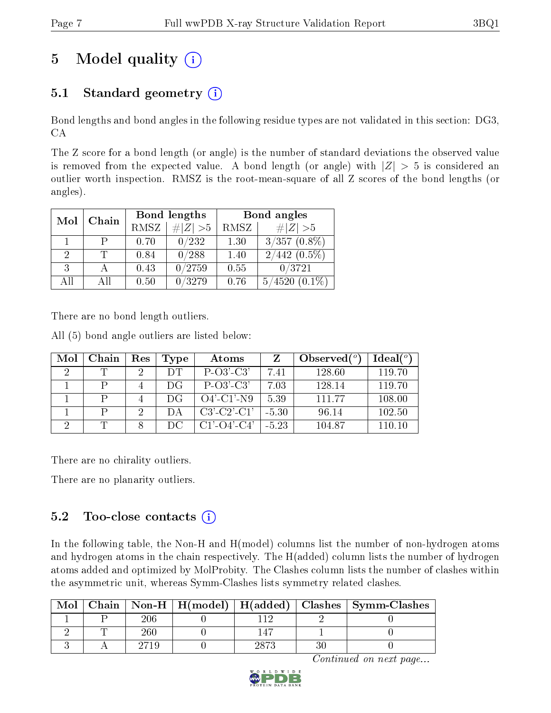# 5 Model quality  $(i)$

## 5.1 Standard geometry  $(i)$

Bond lengths and bond angles in the following residue types are not validated in this section: DG3, CA

The Z score for a bond length (or angle) is the number of standard deviations the observed value is removed from the expected value. A bond length (or angle) with  $|Z| > 5$  is considered an outlier worth inspection. RMSZ is the root-mean-square of all Z scores of the bond lengths (or angles).

| Mol<br>Chain |    |             | Bond lengths | Bond angles |                   |  |
|--------------|----|-------------|--------------|-------------|-------------------|--|
|              |    | <b>RMSZ</b> | $\ Z\  > 5$  | RMSZ        | $\# Z  > 5$       |  |
|              |    | 0.70        | 0/232        | 1.30        | $3/357(0.8\%)$    |  |
| 2            |    | 0.84        | 0/288        | 1.40        | $2/442$ $(0.5\%)$ |  |
| 3            |    | 0.43        | 0/2759       | 0.55        | 0/3721            |  |
| AΠ           | ΑH | 0.50        | /3279        | 0.76        | 4520<br>5/        |  |

There are no bond length outliers.

All (5) bond angle outliers are listed below:

| Mol            | Chain | Res | <b>Type</b> | Atoms                 |         | Observed $(^\circ)$ | Ideal $(°)$ |
|----------------|-------|-----|-------------|-----------------------|---------|---------------------|-------------|
| $\mathfrak{D}$ |       |     | ĐТ          | $P-O3'-C3'$           | 7.41    | 128.60              | 119.70      |
|                |       |     | DG          | $P-O3'$ -C3'          | 7.03    | 128.14              | 119.70      |
|                |       |     | ĐG          | $O4'$ -C1'-N9         | 5.39    | 111.77              | 108.00      |
|                |       | റ   |             | $C3'$ - $C2'$ - $C1'$ | $-5.30$ | 96.14               | 102.50      |
|                |       |     | DC          | $C1'$ - $O4'$ - $C4'$ | $-5.23$ | 104.87              | 110.10      |

There are no chirality outliers.

There are no planarity outliers.

### $5.2$  Too-close contacts  $(i)$

In the following table, the Non-H and H(model) columns list the number of non-hydrogen atoms and hydrogen atoms in the chain respectively. The H(added) column lists the number of hydrogen atoms added and optimized by MolProbity. The Clashes column lists the number of clashes within the asymmetric unit, whereas Symm-Clashes lists symmetry related clashes.

| Mol |     |             | $\text{Chain}$   Non-H   H(model)   H(added)   Clashes   Symm-Clashes |
|-----|-----|-------------|-----------------------------------------------------------------------|
|     | 206 |             |                                                                       |
|     | 260 |             |                                                                       |
|     |     | ററ <i>ൗ</i> |                                                                       |

Continued on next page...

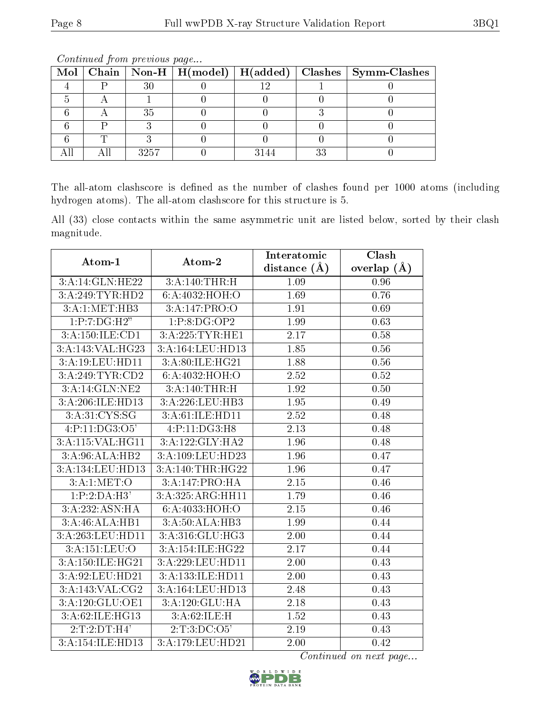|  |      |  | Mol   Chain   Non-H   H(model)   H(added)   Clashes   Symm-Clashes |
|--|------|--|--------------------------------------------------------------------|
|  |      |  |                                                                    |
|  |      |  |                                                                    |
|  | 35   |  |                                                                    |
|  |      |  |                                                                    |
|  |      |  |                                                                    |
|  | 3257 |  |                                                                    |

Continued from previous page...

The all-atom clashscore is defined as the number of clashes found per 1000 atoms (including hydrogen atoms). The all-atom clashscore for this structure is 5.

All (33) close contacts within the same asymmetric unit are listed below, sorted by their clash magnitude.

| Atom-1               | Atom-2                       | Interatomic       | Clash         |  |
|----------------------|------------------------------|-------------------|---------------|--|
|                      |                              | distance $(\AA)$  | overlap $(A)$ |  |
| 3:A:14:GLN:HE22      | 3:A:140:THR:H                | 1.09              | 0.96          |  |
| 3:A:249:TYR:HD2      | 6:A:4032:HOH:O               | 1.69              | 0.76          |  |
| 3:A:1:MET:HB3        | 3: A:147: PRO:O              | 1.91              | 0.69          |  |
| 1:P:7:DG:H2"         | 1:P:8:DG:OP2                 | 1.99              | 0.63          |  |
| 3:A:150:ILE:CD1      | 3:A:225:TYR:HE1              | 2.17              | 0.58          |  |
| 3:A:143:VAL:HG23     | 3:A:164:LEU:HD13             | 1.85              | 0.56          |  |
| 3:A:19:LEU:HD11      | 3:A:80:ILE:HG21              | 1.88              | 0.56          |  |
| 3:A:249:TYR:CD2      | 6:A:4032:HOH:O               | 2.52              | 0.52          |  |
| 3:A:14:GLN:NE2       | 3:A:140:THR:H                | 1.92              | 0.50          |  |
| 3:A:206:ILE:HD13     | 3:A:226:LEU:HB3              | 1.95              | 0.49          |  |
| 3:A:31:CYS:SG        | 3:A:61:ILE:HD11              | 2.52              | 0.48          |  |
| 4:P:11:DG3:O5'       | 4:P:11:DG3:H8                | 2.13              | 0.48          |  |
| 3: A: 115: VAL: HG11 | 3:A:122:GLY:HA2              | 1.96              | 0.48          |  |
| 3:A:96:ALA:HB2       | 3:A:109:LEU:HD23             | 1.96              | 0.47          |  |
| 3:A:134:LEU:HD13     | 3:A:140:THR:HG22             | 1.96              | 0.47          |  |
| 3: A:1: MET:O        | 3:A:147:PRO:HA               | $\overline{2.15}$ | 0.46          |  |
| 1:P:2:DA:H3'         | 3:A:325:ARG:HH11             | 1.79              | 0.46          |  |
| 3:A:232:ASN:HA       | 6:A:4033:HOH:O               | 2.15              | 0.46          |  |
| 3:A:46:ALA:HB1       | 3:A:50:ALA:HB3               | 1.99              | 0.44          |  |
| 3:A:263:LEU:HD11     | 3:A:316:GLU:HG3              | 2.00              | 0.44          |  |
| 3:A:151:LEU:O        | 3:A:154:ILE:HG22             | 2.17              | 0.44          |  |
| 3:A:150:ILE:HG21     | 3:A:229:LEU:HD11             | 2.00              | 0.43          |  |
| 3:A:92:LEU:HD21      | 3:A:133:ILE:HD11             | 2.00              | 0.43          |  |
| 3:A:143:VAL:CG2      | 3:A:164:LEU:HD13             | 2.48              | 0.43          |  |
| 3:A:120:GLU:OE1      | 3:A:120:GLU:HA               | 2.18              | 0.43          |  |
| 3:A:62:ILE:HG13      | 3:A:62:ILE:H                 | 1.52              | 0.43          |  |
| 2:T:2:DT:H4'         | $2: T: 3: D\overline{C:O5'}$ | 2.19              | 0.43          |  |
| 3:A:154:ILE:HD13     | 3:A:179:LEU:HD21             | 2.00              | 0.42          |  |

Continued on next page...

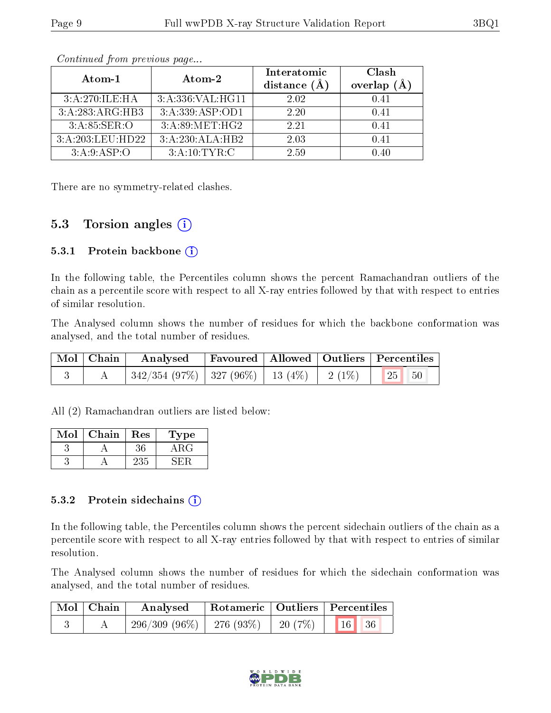| Atom-1           | Atom-2            | Interatomic<br>distance $(\AA)$ | Clash<br>overlap<br>$(\AA)$ |
|------------------|-------------------|---------------------------------|-----------------------------|
| 3:A:270:ILE:HA   | 3:A:336:VAL:HG11  | 2.02                            | 0.41                        |
| 3:A:283:ARG:HB3  | 3: A:339: ASP:OD1 | 2.20                            | 0.41                        |
| 3:A:85:SER:O     | 3: A:89:MET:HG2   | 2.21                            | 0.41                        |
| 3:A:203:LEU:HD22 | 3:A:230:ALA:HB2   | 2.03                            | 0.41                        |
| 3: A:9: ASP:O    | 3:A:10:TYR:C      | 2.59                            |                             |

Continued from previous page...

There are no symmetry-related clashes.

### 5.3 Torsion angles  $(i)$

#### 5.3.1 Protein backbone  $(i)$

In the following table, the Percentiles column shows the percent Ramachandran outliers of the chain as a percentile score with respect to all X-ray entries followed by that with respect to entries of similar resolution.

The Analysed column shows the number of residues for which the backbone conformation was analysed, and the total number of residues.

| Mol   Chain | $\boldsymbol{\mathrm{Analysed}}$                                             |  | Favoured   Allowed   Outliers   Percentiles |
|-------------|------------------------------------------------------------------------------|--|---------------------------------------------|
|             | $\mid$ 342/354 (97%) $\mid$ 327 (96%) $\mid$ 13 (4%) $\mid$ 2 (1%) $\mid$ 25 |  |                                             |

All (2) Ramachandran outliers are listed below:

| Mol | ${\bf Chain}$ | Res | L'ype |
|-----|---------------|-----|-------|
|     |               |     |       |
|     |               | 235 |       |

#### 5.3.2 Protein sidechains  $(i)$

In the following table, the Percentiles column shows the percent sidechain outliers of the chain as a percentile score with respect to all X-ray entries followed by that with respect to entries of similar resolution.

The Analysed column shows the number of residues for which the sidechain conformation was analysed, and the total number of residues.

| Mol   Chain |                                                        |  | Analysed Rotameric Qutliers Percentiles |  |  |
|-------------|--------------------------------------------------------|--|-----------------------------------------|--|--|
|             | $296/309$ $(96\%)$   276 $(93\%)$   20 $(7\%)$   16 36 |  |                                         |  |  |

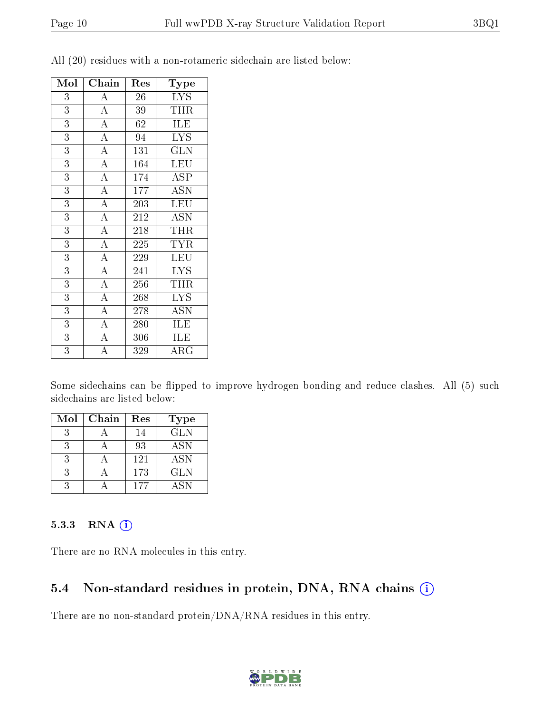| Mol              | Chain              | Res | Type                      |
|------------------|--------------------|-----|---------------------------|
| $\boldsymbol{3}$ | $\overline{A}$     | 26  | <b>LYS</b>                |
| 3                | $\overline{A}$     | 39  | THR                       |
| $\overline{3}$   | $\overline{A}$     | 62  | <b>ILE</b>                |
| $\overline{3}$   | $\overline{A}$     | 94  | <b>LYS</b>                |
| $\overline{3}$   | $\overline{A}$     | 131 | <b>GLN</b>                |
| $\overline{3}$   | $\overline{A}$     | 164 | LEU                       |
| $\overline{3}$   | $\overline{A}$     | 174 | ASP                       |
| $\overline{3}$   | $\overline{A}$     | 177 | $\overline{\mathrm{ASN}}$ |
| $\overline{3}$   | $\overline{A}$     | 203 | <b>LEU</b>                |
| $\overline{3}$   | $\overline{A}$     | 212 | <b>ASN</b>                |
| $\overline{3}$   | $\overline{A}$     | 218 | THR                       |
| 3                | $\overline{A}$     | 225 | <b>TYR</b>                |
| $\overline{3}$   | $\overline{A}$     | 229 | <b>LEU</b>                |
| $\overline{3}$   | $\overline{A}$     | 241 | <b>LYS</b>                |
| $\overline{3}$   | $\overline{A}$     | 256 | THR                       |
| $\overline{3}$   | $\overline{A}$     | 268 | <b>LYS</b>                |
| $\overline{3}$   | $\overline{A}$     | 278 | ASN                       |
| $\overline{3}$   | $\overline{A}$     | 280 | ILE                       |
| $\overline{3}$   | $\overline{A}$     | 306 | ILE                       |
| $\overline{3}$   | $\overline{\rm A}$ | 329 | $\rm{ARG}$                |

All (20) residues with a non-rotameric sidechain are listed below:

Some sidechains can be flipped to improve hydrogen bonding and reduce clashes. All (5) such sidechains are listed below:

| $\operatorname{Mol}$ | Chain | Res | Type       |
|----------------------|-------|-----|------------|
| 3                    |       | 14  | <b>GLN</b> |
| -3                   |       | 93  | <b>ASN</b> |
| 3                    |       | 121 | <b>ASN</b> |
| 3                    |       | 173 | <b>GLN</b> |
|                      |       | 177 | <b>ASN</b> |

#### 5.3.3 RNA (1)

There are no RNA molecules in this entry.

#### 5.4 Non-standard residues in protein, DNA, RNA chains (i)

There are no non-standard protein/DNA/RNA residues in this entry.

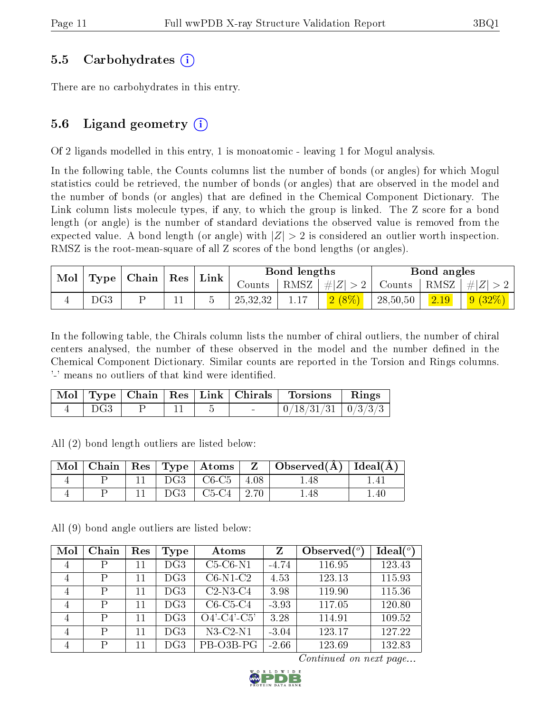#### 5.5 Carbohydrates (i)

There are no carbohydrates in this entry.

### 5.6 Ligand geometry  $(i)$

Of 2 ligands modelled in this entry, 1 is monoatomic - leaving 1 for Mogul analysis.

In the following table, the Counts columns list the number of bonds (or angles) for which Mogul statistics could be retrieved, the number of bonds (or angles) that are observed in the model and the number of bonds (or angles) that are defined in the Chemical Component Dictionary. The Link column lists molecule types, if any, to which the group is linked. The Z score for a bond length (or angle) is the number of standard deviations the observed value is removed from the expected value. A bond length (or angle) with  $|Z| > 2$  is considered an outlier worth inspection. RMSZ is the root-mean-square of all Z scores of the bond lengths (or angles).

| Mol   Type   Chain   Res |  | Link |  | Bond lengths |      |                          | Bond angles |      |                                  |
|--------------------------|--|------|--|--------------|------|--------------------------|-------------|------|----------------------------------|
|                          |  |      |  | Counts       | RMSZ | $\vert \#  Z  > 2 \vert$ |             |      | Counts   RMSZ $\vert \#  Z  > 2$ |
| DG3                      |  |      |  | 25,32,32     |      | (2 (8%)                  | 28,50,50    | 2.19 | 9(32%)                           |

In the following table, the Chirals column lists the number of chiral outliers, the number of chiral centers analysed, the number of these observed in the model and the number defined in the Chemical Component Dictionary. Similar counts are reported in the Torsion and Rings columns. '-' means no outliers of that kind were identified.

|     |  |  | Mol   Type   Chain   Res   Link   Chirals   Torsions   Rings |  |
|-----|--|--|--------------------------------------------------------------|--|
| DG3 |  |  | $0/18/31/31$   $0/3/3/3$                                     |  |

All (2) bond length outliers are listed below:

|  |  |                                 | $\mid$ Mol $\mid$ Chain $\mid$ Res $\mid$ Type $\mid$ Atoms $\mid$ Z $\mid$ Observed(A) $\mid$ Ideal(A) |     |
|--|--|---------------------------------|---------------------------------------------------------------------------------------------------------|-----|
|  |  | $DG3 \mid CG-C5 \mid 4.08 \mid$ | 1.48                                                                                                    |     |
|  |  | $DG3 \mid C5-C4 \mid 2.70$      | r.48                                                                                                    | .40 |

All (9) bond angle outliers are listed below:

| Mol            | Chain | Res | Type | Atoms         | Z       | Observed $(°)$ | $\text{Ideal}({}^o)$ |
|----------------|-------|-----|------|---------------|---------|----------------|----------------------|
| 4              | Ρ     | 11  | DG3  | $C5-C6-N1$    | $-4.74$ | 116.95         | 123.43               |
| 4              | P     | 11  | DG3  | $C6-N1-C2$    | 4.53    | 123.13         | 115.93               |
| 4              | P     | 11  | DG3  | $C2-N3-C4$    | 3.98    | 119.90         | 115.36               |
| 4              | P     | 11  | DG3  | $C6-C5-C4$    | $-3.93$ | 117.05         | 120.80               |
| $\overline{4}$ | P     | 11  | DG3  | $O4'-C4'-C5'$ | 3.28    | 114.91         | 109.52               |
| 4              | P     | 11  | DG3  | $N3-C2-N1$    | $-3.04$ | 123.17         | 127.22               |
| 4              | P     | 11  | DG3  | PB-03B-PG     | $-2.66$ | 123.69         | 132.83               |

Continued on next page...

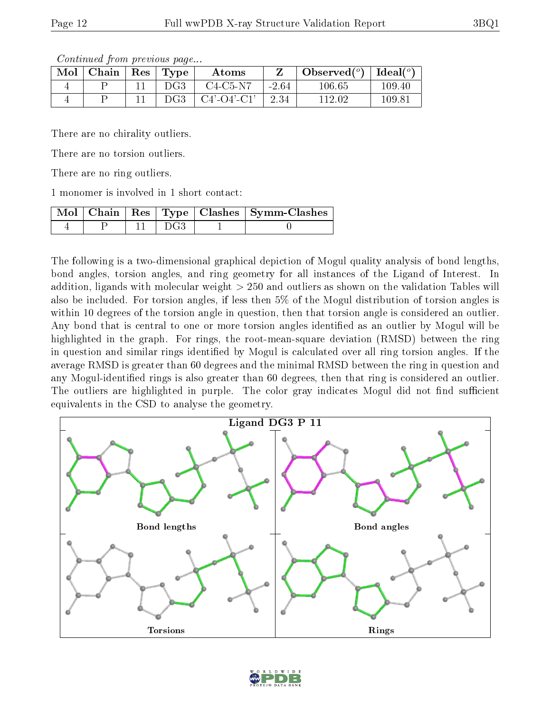Continued from previous page...

| Mol | Chain | $\operatorname{Res}$ | $\mathbf{T}$ $\mathbf{V}$ | Atoms                 |         | Observed $(°)$ | Ideal $(°)$ |
|-----|-------|----------------------|---------------------------|-----------------------|---------|----------------|-------------|
|     |       |                      | DG3                       | $C4-C5-N7$            | $-2.64$ | 106.65         | 109.40      |
|     |       |                      | DG3                       | $C4'$ - $O4'$ - $C1'$ | 2.34    | 112.02         | 109.81      |

There are no chirality outliers.

There are no torsion outliers.

There are no ring outliers.

1 monomer is involved in 1 short contact:

|  |       | Mol   Chain   Res   Type   Clashes   Symm-Clashes |
|--|-------|---------------------------------------------------|
|  | ∣ DG3 |                                                   |

The following is a two-dimensional graphical depiction of Mogul quality analysis of bond lengths, bond angles, torsion angles, and ring geometry for all instances of the Ligand of Interest. In addition, ligands with molecular weight > 250 and outliers as shown on the validation Tables will also be included. For torsion angles, if less then 5% of the Mogul distribution of torsion angles is within 10 degrees of the torsion angle in question, then that torsion angle is considered an outlier. Any bond that is central to one or more torsion angles identified as an outlier by Mogul will be highlighted in the graph. For rings, the root-mean-square deviation (RMSD) between the ring in question and similar rings identified by Mogul is calculated over all ring torsion angles. If the average RMSD is greater than 60 degrees and the minimal RMSD between the ring in question and any Mogul-identified rings is also greater than 60 degrees, then that ring is considered an outlier. The outliers are highlighted in purple. The color gray indicates Mogul did not find sufficient equivalents in the CSD to analyse the geometry.



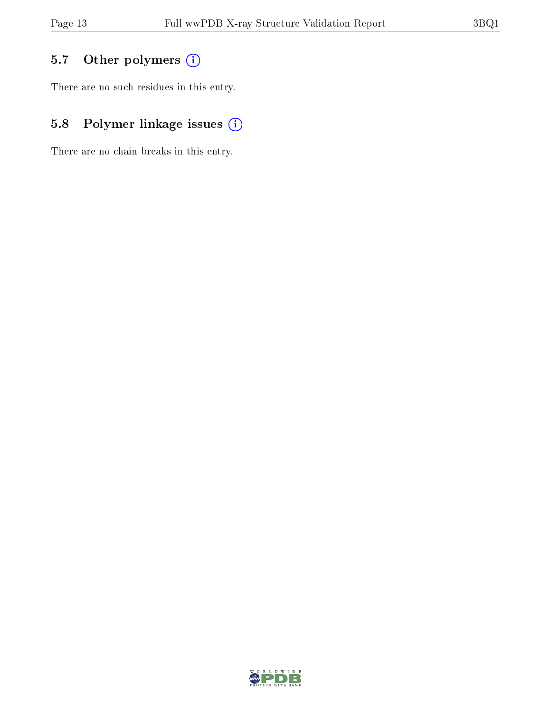## 5.7 [O](https://www.wwpdb.org/validation/2017/XrayValidationReportHelp#nonstandard_residues_and_ligands)ther polymers (i)

There are no such residues in this entry.

## 5.8 Polymer linkage issues (i)

There are no chain breaks in this entry.

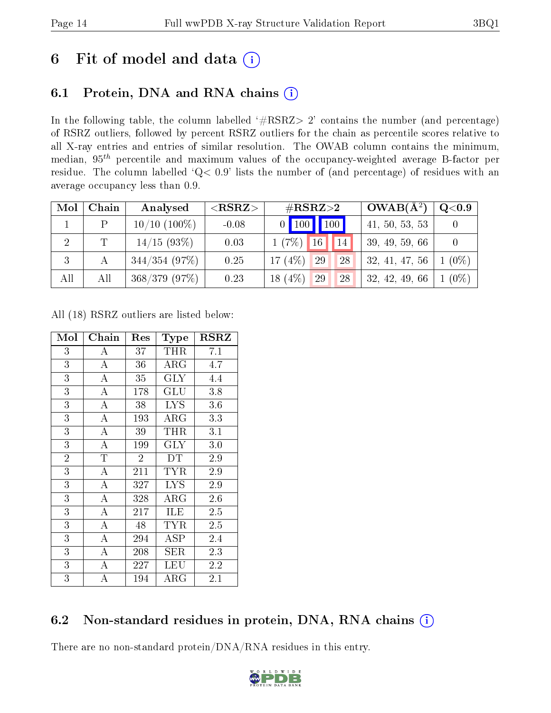## 6 Fit of model and data  $(i)$

## 6.1 Protein, DNA and RNA chains  $(i)$

In the following table, the column labelled  $#RSRZ> 2'$  contains the number (and percentage) of RSRZ outliers, followed by percent RSRZ outliers for the chain as percentile scores relative to all X-ray entries and entries of similar resolution. The OWAB column contains the minimum, median,  $95<sup>th</sup>$  percentile and maximum values of the occupancy-weighted average B-factor per residue. The column labelled ' $Q< 0.9$ ' lists the number of (and percentage) of residues with an average occupancy less than 0.9.

| Mol            | Chain | Analysed          | ${ <\hspace{-1.5pt}{\mathrm{RSRZ}} \hspace{-1.5pt}>}$ | $\rm \#RSRZ{>}2$          | $OWAB(A^2)$    | Q <sub>0.9</sub> |
|----------------|-------|-------------------|-------------------------------------------------------|---------------------------|----------------|------------------|
|                | D     | $10/10$ $(100\%)$ | $-0.08$                                               | $0$ $100$ $100$           | 41, 50, 53, 53 |                  |
| $\overline{2}$ |       | 14/15(93%)        | 0.03                                                  | 16<br>1(7%)<br>$\vert$ 14 | 39, 49, 59, 66 |                  |
| 3              |       | $344/354$ (97%)   | 0.25                                                  | 17 $(4%)$<br>29<br>28     | 32, 41, 47, 56 | $1(0\%)$         |
| All            | All   | $368/379$ (97\%)  | 0.23                                                  | 18 $(4%)$<br>29<br>28     | 32, 42, 49, 66 | $1(0\%)$         |

All (18) RSRZ outliers are listed below:

| Mol            | Chain              | Res            | <b>Type</b> | $_{\rm RSRZ}$ |
|----------------|--------------------|----------------|-------------|---------------|
| 3              | А                  | 37             | <b>THR</b>  | 7.1           |
| $\overline{3}$ | A                  | 36             | $\rm{ARG}$  | 4.7           |
| $\overline{3}$ | $\overline{A}$     | 35             | GLY         | 4.4           |
| $\overline{3}$ | $\overline{\rm A}$ | 178            | GLU         | 3.8           |
| 3              | A                  | 38             | LYS.        | 3.6           |
| $\overline{3}$ | $\overline{\rm A}$ | 193            | $\rm{ARG}$  | 3.3           |
| $\overline{3}$ | $\overline{A}$     | 39             | THR         | 3.1           |
| $\overline{3}$ | $\bf{A}$           | 199            | $\rm GLY$   | 3.0           |
| $\overline{2}$ | $\overline{T}$     | $\overline{2}$ | DT          | 2.9           |
| 3              | $\overline{A}$     | 211            | TYR         | $2.9\,$       |
| $\overline{3}$ | $\overline{\rm A}$ | 327            | <b>LYS</b>  | 2.9           |
| $\overline{3}$ | А                  | 328            | $\rm{ARG}$  | 2.6           |
| $\overline{3}$ | $\bf{A}$           | 217            | ILE         | 2.5           |
| $\overline{3}$ | A                  | 48             | TYR         | 2.5           |
| $\overline{3}$ | А                  | 294            | ASP         | 2.4           |
| $\overline{3}$ | А                  | 208            | SER         | 2.3           |
| $\overline{3}$ | Α                  | 227            | LEU         | 2.2           |
| $\overline{3}$ | А                  | 194            | ${\rm ARG}$ | 2.1           |

### 6.2 Non-standard residues in protein, DNA, RNA chains  $(i)$

There are no non-standard protein/DNA/RNA residues in this entry.

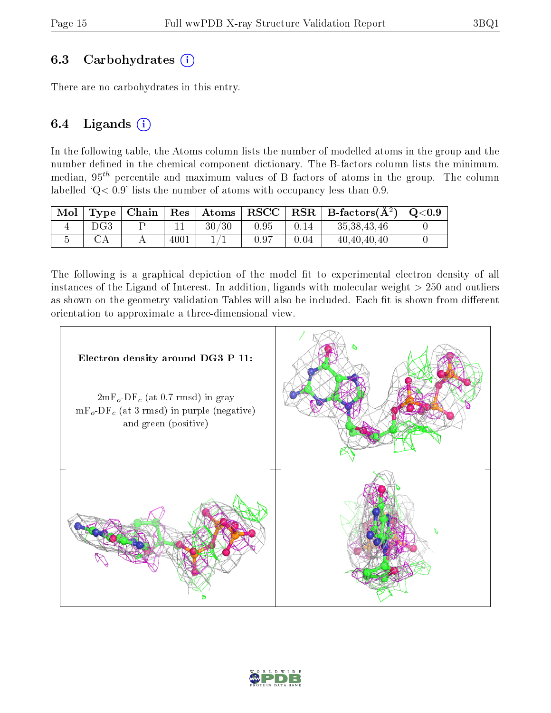#### 6.3 Carbohydrates  $(i)$

There are no carbohydrates in this entry.

#### 6.4 Ligands  $(i)$

In the following table, the Atoms column lists the number of modelled atoms in the group and the number defined in the chemical component dictionary. The B-factors column lists the minimum, median,  $95<sup>th</sup>$  percentile and maximum values of B factors of atoms in the group. The column labelled  $Q < 0.9$ ' lists the number of atoms with occupancy less than 0.9.

| $\blacksquare$ |      |      |       |      |      | Type   Chain   Res   Atoms   RSCC   RSR   B-factors $(\AA^2)$   Q<0.9 |  |
|----------------|------|------|-------|------|------|-----------------------------------------------------------------------|--|
|                | DG3- |      | 30/30 | 0.95 | 0.14 | 35, 38, 43, 46                                                        |  |
|                |      | 4001 |       | 0.97 | 0.04 | 40, 40, 40, 40                                                        |  |

The following is a graphical depiction of the model fit to experimental electron density of all instances of the Ligand of Interest. In addition, ligands with molecular weight  $> 250$  and outliers as shown on the geometry validation Tables will also be included. Each fit is shown from different orientation to approximate a three-dimensional view.